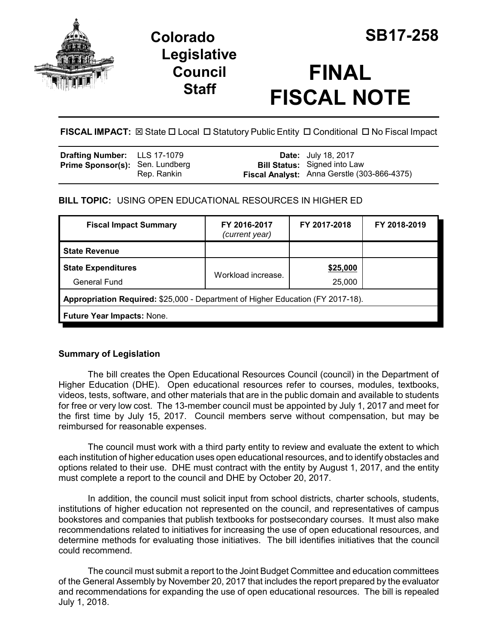

# **Colorado SB17-258 Legislative Council Staff**

# **FINAL FISCAL NOTE**

**FISCAL IMPACT:** ⊠ State □ Local □ Statutory Public Entity □ Conditional □ No Fiscal Impact

| <b>Drafting Number:</b> LLS 17-1079    |             | <b>Date:</b> July 18, 2017                                                         |
|----------------------------------------|-------------|------------------------------------------------------------------------------------|
| <b>Prime Sponsor(s): Sen. Lundberg</b> | Rep. Rankin | <b>Bill Status:</b> Signed into Law<br>Fiscal Analyst: Anna Gerstle (303-866-4375) |

## **BILL TOPIC:** USING OPEN EDUCATIONAL RESOURCES IN HIGHER ED

| <b>Fiscal Impact Summary</b>                                                    | FY 2016-2017<br>(current year) | FY 2017-2018       | FY 2018-2019 |  |  |
|---------------------------------------------------------------------------------|--------------------------------|--------------------|--------------|--|--|
| <b>State Revenue</b>                                                            |                                |                    |              |  |  |
| <b>State Expenditures</b><br><b>General Fund</b>                                | Workload increase.             | \$25,000<br>25,000 |              |  |  |
| Appropriation Required: \$25,000 - Department of Higher Education (FY 2017-18). |                                |                    |              |  |  |
| Future Year Impacts: None.                                                      |                                |                    |              |  |  |

### **Summary of Legislation**

The bill creates the Open Educational Resources Council (council) in the Department of Higher Education (DHE). Open educational resources refer to courses, modules, textbooks, videos, tests, software, and other materials that are in the public domain and available to students for free or very low cost. The 13-member council must be appointed by July 1, 2017 and meet for the first time by July 15, 2017. Council members serve without compensation, but may be reimbursed for reasonable expenses.

The council must work with a third party entity to review and evaluate the extent to which each institution of higher education uses open educational resources, and to identify obstacles and options related to their use. DHE must contract with the entity by August 1, 2017, and the entity must complete a report to the council and DHE by October 20, 2017.

In addition, the council must solicit input from school districts, charter schools, students, institutions of higher education not represented on the council, and representatives of campus bookstores and companies that publish textbooks for postsecondary courses. It must also make recommendations related to initiatives for increasing the use of open educational resources, and determine methods for evaluating those initiatives. The bill identifies initiatives that the council could recommend.

The council must submit a report to the Joint Budget Committee and education committees of the General Assembly by November 20, 2017 that includes the report prepared by the evaluator and recommendations for expanding the use of open educational resources. The bill is repealed July 1, 2018.